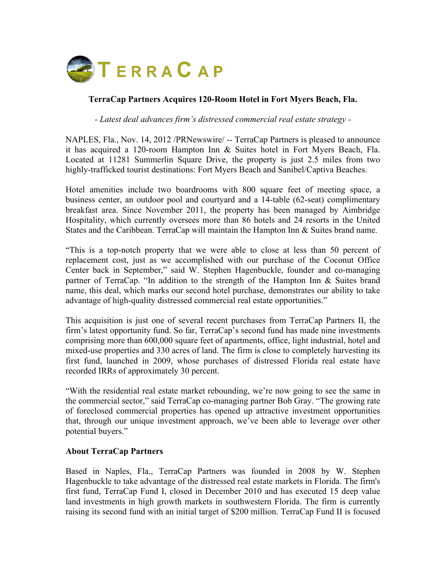

## **TerraCap Partners Acquires 120-Room Hotel in Fort Myers Beach, Fla.**

*- Latest deal advances firm's distressed commercial real estate strategy -*

NAPLES, Fla., Nov. 14, 2012 /PRNewswire/ -- TerraCap Partners is pleased to announce it has acquired a 120-room Hampton Inn & Suites hotel in Fort Myers Beach, Fla. Located at 11281 Summerlin Square Drive, the property is just 2.5 miles from two highly-trafficked tourist destinations: Fort Myers Beach and Sanibel/Captiva Beaches.

Hotel amenities include two boardrooms with 800 square feet of meeting space, a business center, an outdoor pool and courtyard and a 14-table (62-seat) complimentary breakfast area. Since November 2011, the property has been managed by Aimbridge Hospitality, which currently oversees more than 86 hotels and 24 resorts in the United States and the Caribbean. TerraCap will maintain the Hampton Inn & Suites brand name.

"This is a top-notch property that we were able to close at less than 50 percent of replacement cost, just as we accomplished with our purchase of the Coconut Office Center back in September," said W. Stephen Hagenbuckle, founder and co-managing partner of TerraCap. "In addition to the strength of the Hampton Inn & Suites brand name, this deal, which marks our second hotel purchase, demonstrates our ability to take advantage of high-quality distressed commercial real estate opportunities."

This acquisition is just one of several recent purchases from TerraCap Partners II, the firm's latest opportunity fund. So far, TerraCap's second fund has made nine investments comprising more than 600,000 square feet of apartments, office, light industrial, hotel and mixed-use properties and 330 acres of land. The firm is close to completely harvesting its first fund, launched in 2009, whose purchases of distressed Florida real estate have recorded IRRs of approximately 30 percent.

"With the residential real estate market rebounding, we're now going to see the same in the commercial sector," said TerraCap co-managing partner Bob Gray. "The growing rate of foreclosed commercial properties has opened up attractive investment opportunities that, through our unique investment approach, we've been able to leverage over other potential buyers."

## **About TerraCap Partners**

Based in Naples, Fla., TerraCap Partners was founded in 2008 by W. Stephen Hagenbuckle to take advantage of the distressed real estate markets in Florida. The firm's first fund, TerraCap Fund I, closed in December 2010 and has executed 15 deep value land investments in high growth markets in southwestern Florida. The firm is currently raising its second fund with an initial target of \$200 million. TerraCap Fund II is focused